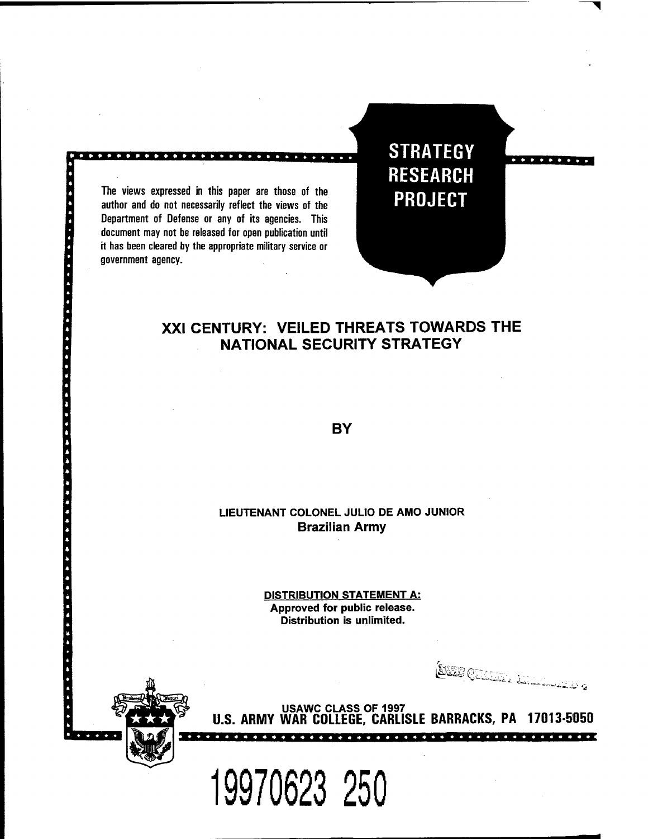**The views expressed in this paper are those of the author and do not necessarily reflect the views of the Department of Defense or any of its agencies. This document may not be released for open publication until it has been cleared by the appropriate military service or government agency.** 

**STRATEGY RESEARCH PROJECT** 

# **XXI CENTURY: VEILED THREATS TOWARDS THE NATIONAL SECURITY STRATEGY**

**BY** 

# **LIEUTENANT COLONEL JULIO DE AM0 JUNIOR Brazilian Army**

**DISTRIBUTION STATEMENT A: Approved for public release. Distribution is unlimited.** 

**DIE CULTUR IN DESCRIPTIONS** 



医血管血清 医肠血清 医心包的 医阴道腹膜 医神经病 医马德尔氏试验检尿道 医湿疹性白血病

**USAWC CLASS OF 1997 U.S. ARMY WAR COLLEGE, CARLISLE BARRACKS, PA 1701 3-3050** 

19970623 250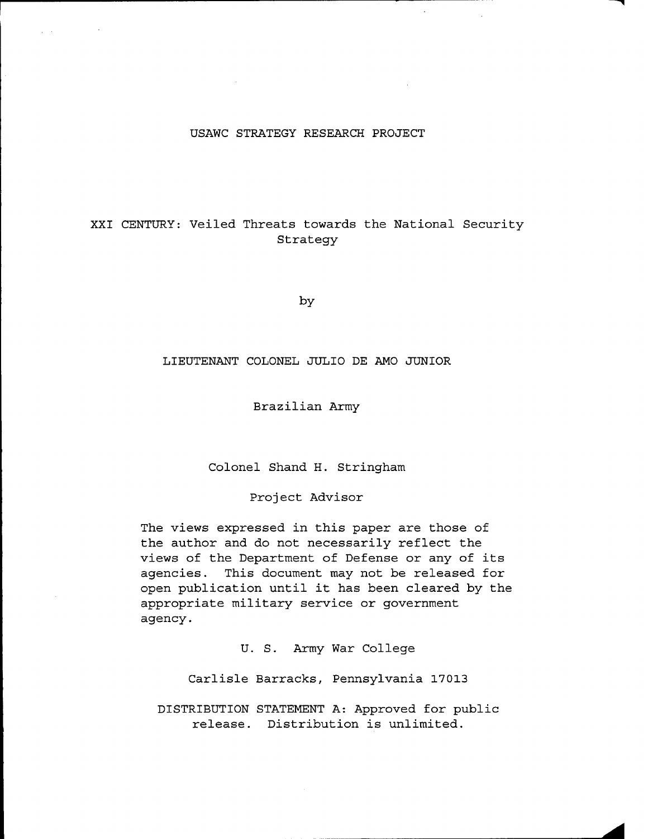### USAWC STRATEGY RESEARCH PROJECT

# XXI CENTURY: Veiled Threats towards the National Security Strategy

by

# LIEUTENANT COLONEL JULIO DE AM0 JUNIOR

#### Brazilian Army

Colonel Shand H. Stringham

Project Advisor

The views expressed in this paper are those of the author and do not necessarily reflect the views of the Department of Defense or any of its agencies. This document may not be released for open publication until it has been cleared by the appropriate military service or government agency.

U. S. Army War College

Carlisle Barracks, Pennsylvania 17013

DISTRIBUTION STATEMENT A: Approved for public release. Distribution is unlimited.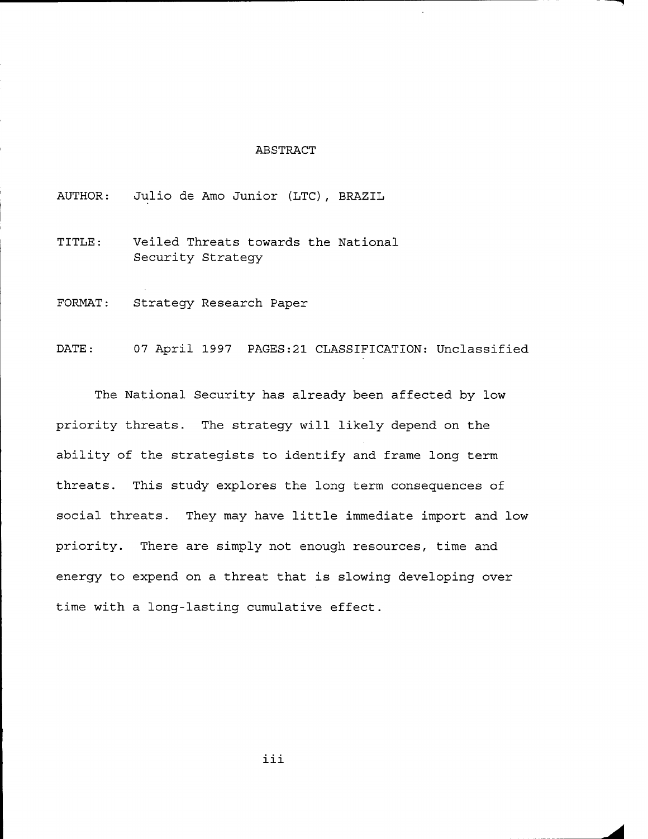#### ABSTRACT

AUTHOR: Julio de Amo Junior (LTC), BRAZIL

TITLE: Veiled Threats towards the National Security Strategy

FORMAT: Strategy Research Paper

DATE: 07 April 1997 PAGES: 21 CLASSIFICATION: Unclassified

The National Security has already been affected by low priority threats. The strategy will likely depend on the ability of the strategists to identify and frame long term threats. This study explores the long term consequences of social threats. They may have little immediate import and low priority. There are simply not enough resources, time and energy to expend on a threat that is slowing developing over time with a long-lasting cumulative effect.

iii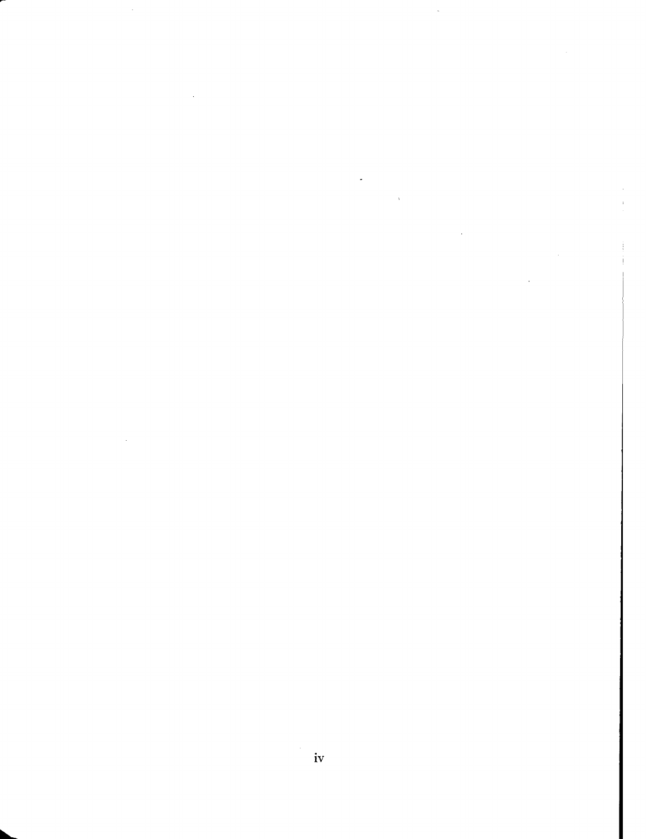$\bar{\bar{z}}$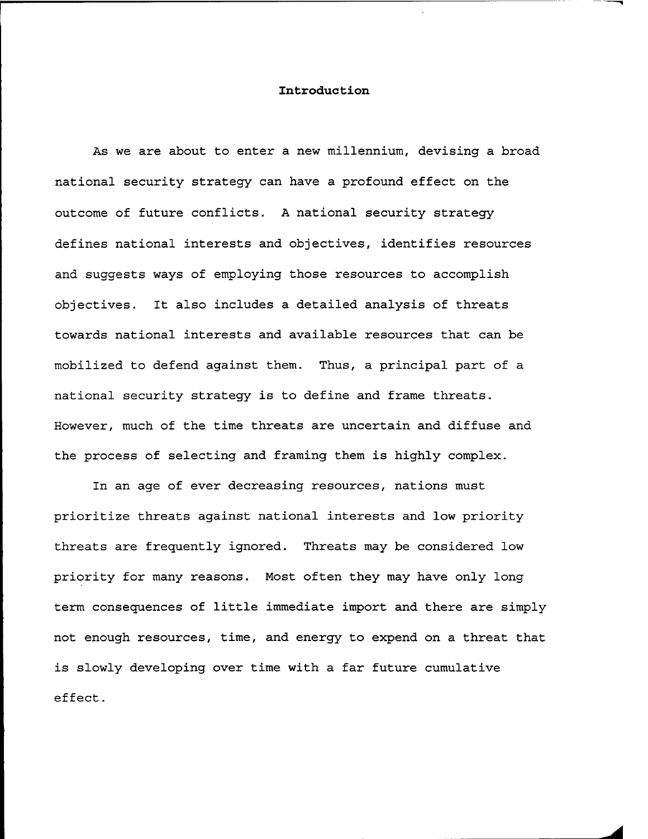# **Introduction**

As we are about to enter a new millennium, devising a broad national security strategy can have a profound effect on the outcome of future conflicts. A national security strategy defines national interests and objectives, identifies resources and suggests ways of employing those resources to accomplish objectives. It also includes a detailed analysis of threats towards national interests and available resources that can be mobilized to defend against them. Thus, a principal part of a national security strategy is to define and frame threats. However, much of the time threats are uncertain and diffuse and the process of selecting and framing them is highly complex.

In an age of ever decreasing resources, nations must prioritize threats against national interests and low priority threats are frequently ignored. Threats may be considered low priority for many reasons. Most often they may have only long term consequences of little immediate import and there are simply not enough resources, time, and energy to expend on a threat that is slowly developing over time with a far future cumulative effect.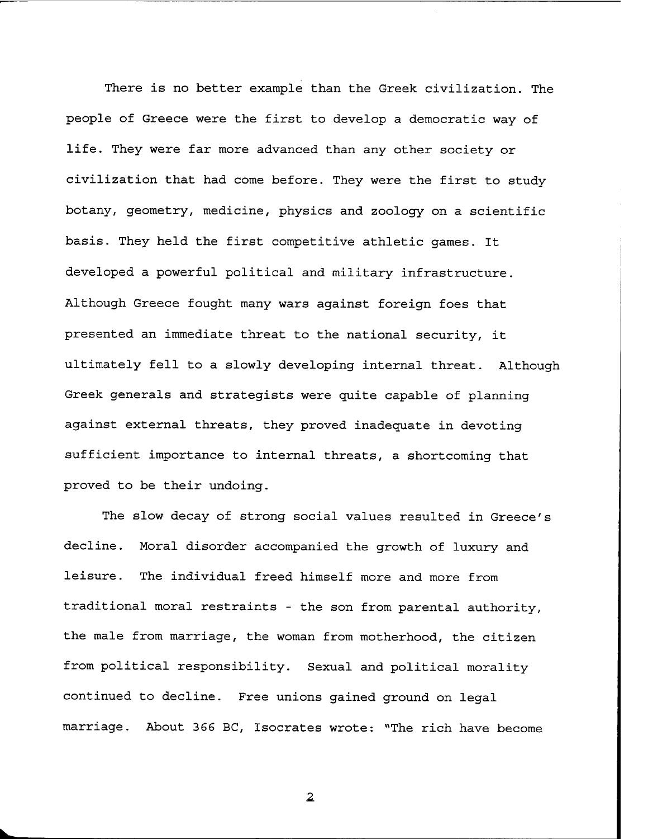There is no better example than the Greek civilization. The people of Greece were the first to develop a democratic way of life. They were far more advanced than any other society or civilization that had come before. They were the first to study botany, geometry, medicine, physics and zoology on a scientific basis. They held the first competitive athletic games. It developed a powerful political and military infrastructure. Although Greece fought many wars against foreign foes that presented an immediate threat to the national security, it ultimately fell to a slowly developing internal threat. Although Greek generals and strategists were quite capable of planning against external threats, they proved inadequate in devoting sufficient importance to internal threats, a shortcoming that proved to be their undoing.

The slow decay of strong social values resulted in Greece's decline. Moral disorder accompanied the growth of luxury and leisure. The individual freed himself more and more from traditional moral restraints - the son from parental authority, the male from marriage, the woman from motherhood, the citizen from political responsibility. Sexual and political morality continued to decline. Free unions gained ground on legal marriage. About 366 **BC,** Isocrates wrote: "The rich have become

 $\overline{2}$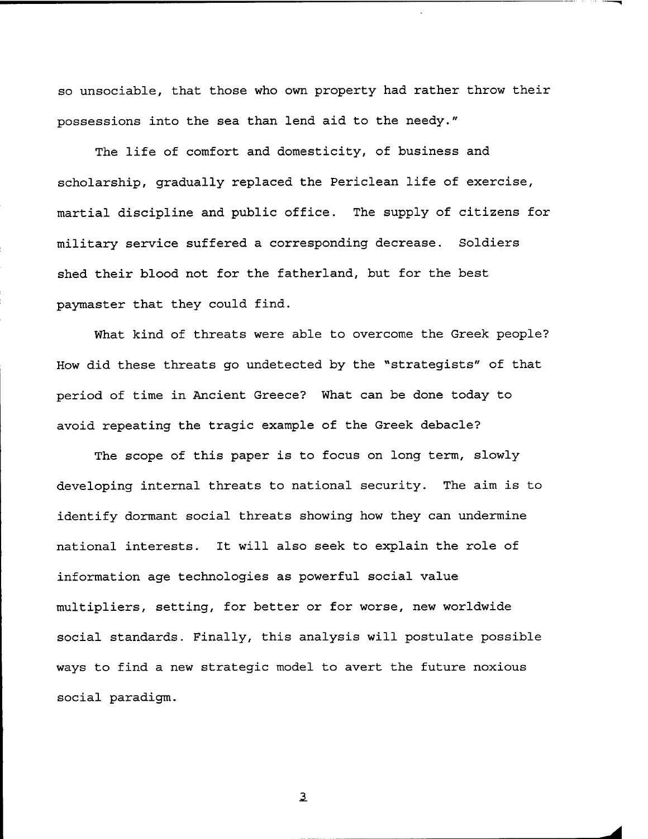so unsociable, that those who own property had rather throw their possessions into the sea than lend aid to the needy."

The life of comfort and domesticity, of business and scholarship, gradually replaced the Periclean life of exercise, martial discipline and public office. The supply of citizens for military service suffered a corresponding decrease. Soldiers shed their blood not for the fatherland, but for the best paymaster that they could find.

What kind of threats were able to overcome the Greek people? How did these threats go undetected by the "strategists" of that period of time in Ancient Greece? What can be done today to avoid repeating the tragic example of the Greek debacle?

The scope of this paper is to focus on long term, slowly developing internal threats to national security. The aim is to identify dormant social threats showing how they can undermine national interests. It will also seek to explain the role of information age technologies as powerful social value multipliers, setting, for better or for worse, new worldwide social standards. Finally, this analysis will postulate possible ways to find a new strategic model to avert the future noxious social paradigm.

 $\mathbf{3}$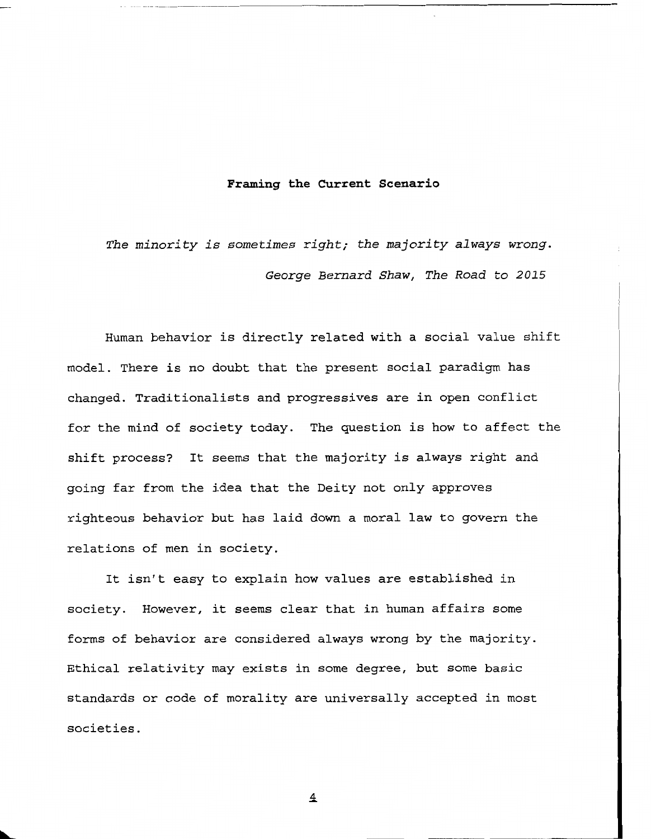#### **Framing the Current Scenario**

*The minority is sometimes right; the majority always wrong. George Bernard Shaw, The Road to 2015* 

Human behavior is directly related with a social value shift model. There is no doubt that the present social paradigm has changed. Traditionalists and progressives are in open conflict for the mind of society today. The question is how to affect the shift process? It seems that the majority is always right and going far from the idea that the Deity not only approves righteous behavior but has laid down a moral law to govern the relations of men in society.

It isn't easy to explain how values are established in society. However, it seems clear that in human affairs some forms of behavior are considered always wrong by the majority. Ethical relativity may exists in some degree, but some basic standards or code of morality are universally accepted in most societies.

 $\overline{\mathbf{A}}$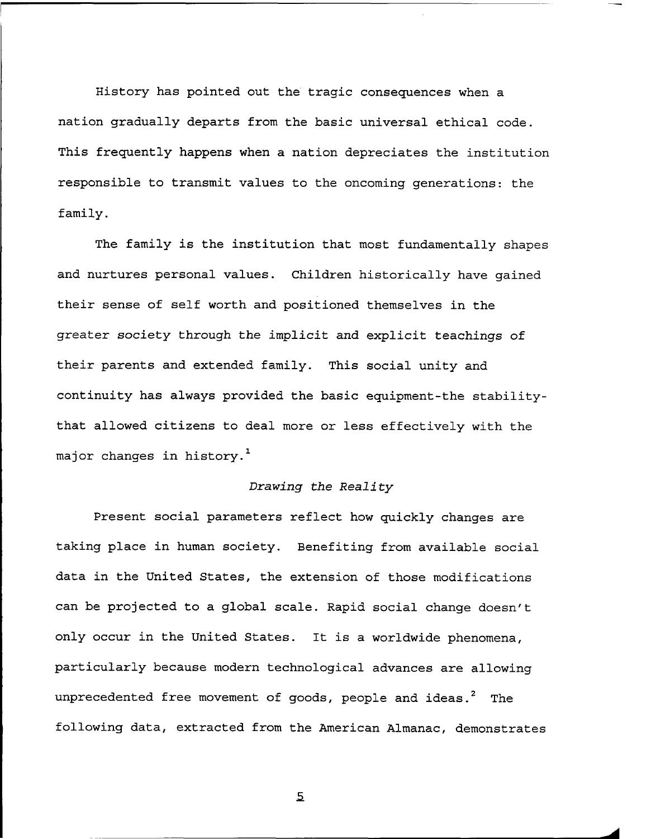History has pointed out the tragic consequences when a nation gradually departs from the basic universal ethical code. This frequently happens when a nation depreciates the institution responsible to transmit values to the oncoming generations: the family .

The family is the institution that most fundamentally shapes and nurtures personal values. Children historically have gained their sense of self worth and positioned themselves in the greater society through the implicit and explicit teachings of their parents and extended family. This social unity and continuity has always provided the basic equipment-the stabilitythat allowed citizens to deal more or less effectively with the major changes in history. **<sup>1</sup>**

# Drawing the Reality

Present social parameters reflect how quickly changes are taking place in human society. Benefiting from available social data in the United States, the extension of those modifications can be projected to a global scale. Rapid social change doesn't only occur in the United States. It is a worldwide phenomena, particularly because modern technological advances are allowing unprecedented free movement of goods, people and ideas.<sup>2</sup> The following data, extracted from the American Almanac, demonstrates

 $\overline{2}$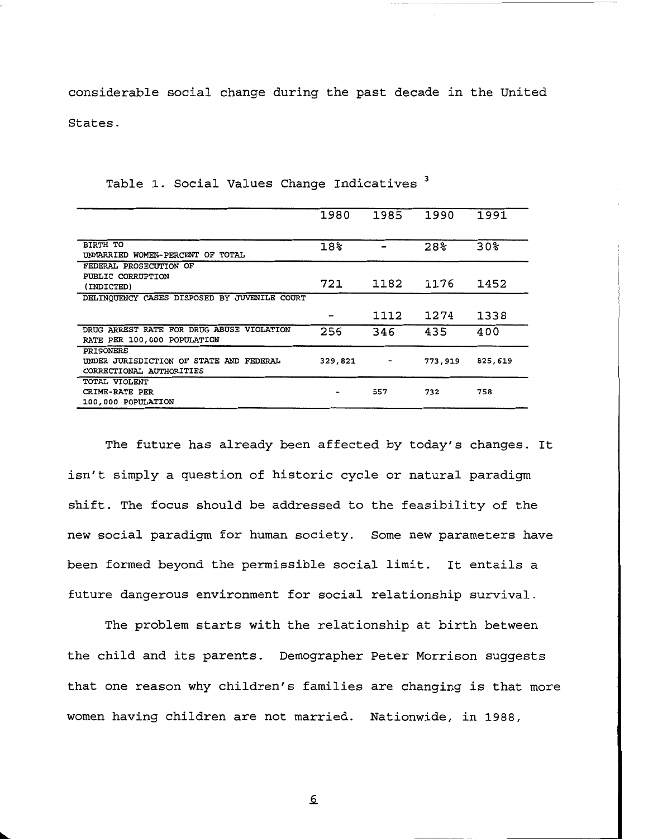considerable social change during the past decade in the United States.

|                                                                                         | 1980            | 1985 | 1990            | 1991    |
|-----------------------------------------------------------------------------------------|-----------------|------|-----------------|---------|
| <b>BIRTH TO</b><br>UNMARRIED WOMEN-PERCENT OF TOTAL                                     | 18 <sup>°</sup> |      | 28 <sup>°</sup> | 30%     |
| FEDERAL PROSECUTION OF                                                                  |                 |      |                 |         |
| PUBLIC CORRUPTION<br>(INDICTED)                                                         | 721             | 1182 | 1176            | 1452    |
| DELINOUENCY CASES DISPOSED BY JUVENILE COURT                                            |                 |      |                 |         |
|                                                                                         |                 | 1112 | 1274            | 1338    |
| DRUG ARREST RATE FOR DRUG ABUSE VIOLATION<br>RATE PER 100,000 POPULATION                | 256             | 346  | 435             | 400     |
| <b>PRISONERS</b><br>UNDER JURISDICTION OF STATE AND FEDERAL<br>CORRECTIONAL AUTHORITIES | 329,821         |      | 773,919         | 825,619 |
| TOTAL VIOLENT<br>CRIME-RATE PER<br>100,000 POPULATION                                   |                 | 557  | 732             | 758     |

Table 1. Social Values Change Indicatives **<sup>3</sup>**

The future has already been affected by today's changes. It isn't simply a question of historic cycle or natural paradigm shift. The focus should be addressed to the feasibility of the new social paradigm for human society. Some new parameters have been formed beyond the permissible social limit. It entails a future dangerous environment for social relationship survival.

The problem starts with the relationship at birth between the child and its parents. Demographer Peter Morrison suggests that one reason why children's families are changing is that more women having children are not married. Nationwide, in 1988,

 $\mathfrak{g}$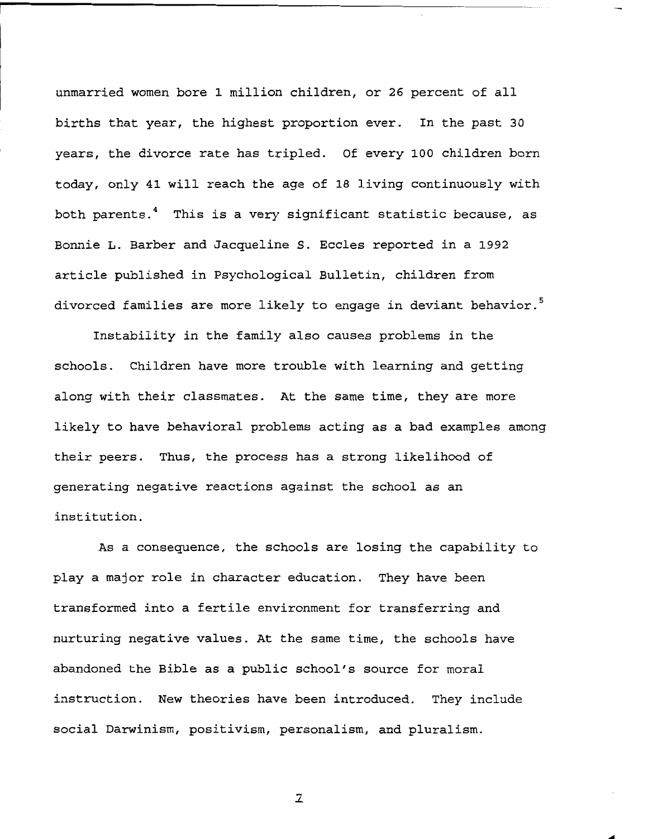unmarried women bore 1 million children, or 26 percent of all births that year, the highest proportion ever. In the past **30**  years, the divorce rate has tripled. Of every **100** children born today, only 41 will reach the age of **18** living continuously with both parents.<sup>4</sup> This is a very significant statistic because, as Bonnie L. Barber and Jacqueline S. Eccles reported in a **1992**  article published in Psychological Bulletin, children from divorced families are more likely to engage in deviant behavior. **<sup>5</sup>**

Instability in the family also causes problems in the schools. Children have more trouble with learning and getting along with their classmates. At the same time, they are more likely to have behavioral problems acting as a bad examples among their peers. Thus, the process has a strong likelihood of generating negative reactions against the school as an institution.

As a consequence, the schools are losing the capability to play a major role in character education. They have been transformed into a fertile environment for transferring and nurturing negative values. At the same time, the schools have abandoned the Bible as a public school's source for moral instruction. New theories have been introduced. They include social Darwinism, positivism, personalism, and pluralism.

 $\mathfrak I$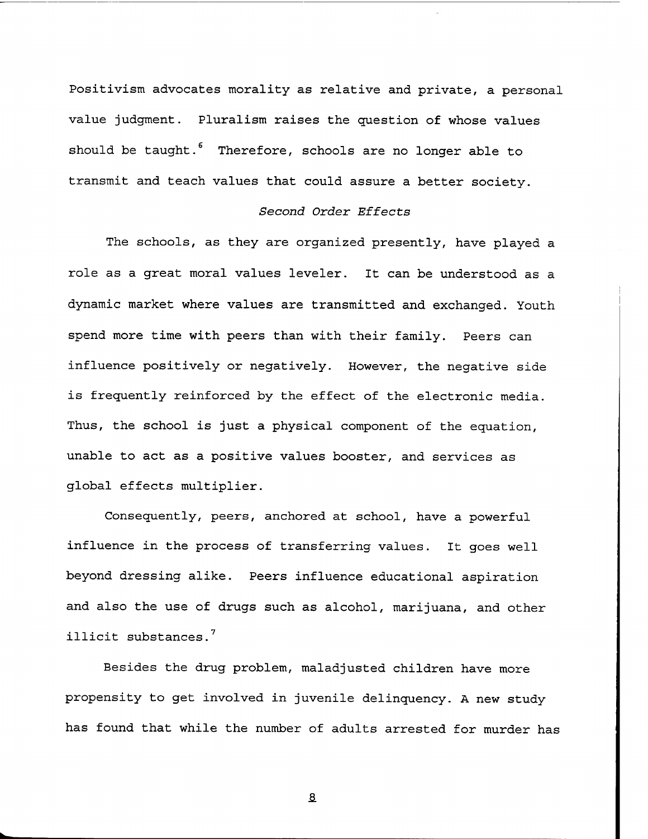Positivism advocates morality as relative and private, a personal value judgment. Pluralism raises the question of whose values should be taught.<sup>6</sup> Therefore, schools are no longer able to transmit and teach values that could assure a better society.

# **Second Order Effects**

The schools, as they are organized presently, have played a role as a great moral values leveler. It can be understood as a dynamic market where values are transmitted and exchanged. Youth spend more time with peers than with their family. Peers can influence positively or negatively. However, the negative side is frequently reinforced by the effect of the electronic media. Thus, the school is just a physical component of the equation, unable to act as a positive values booster, and services as global effects multiplier.

Consequently, peers, anchored at school, have a powerful influence in the process of transferring values. It goes well beyond dressing alike. Peers influence educational aspiration and also the use of drugs such as alcohol, marijuana, and other illicit substances. **<sup>7</sup>**

Besides the drug problem, maladjusted children have more propensity to get involved in juvenile delinquency. A new study has found that while the number of adults arrested for murder has

 $\mathbf{B}$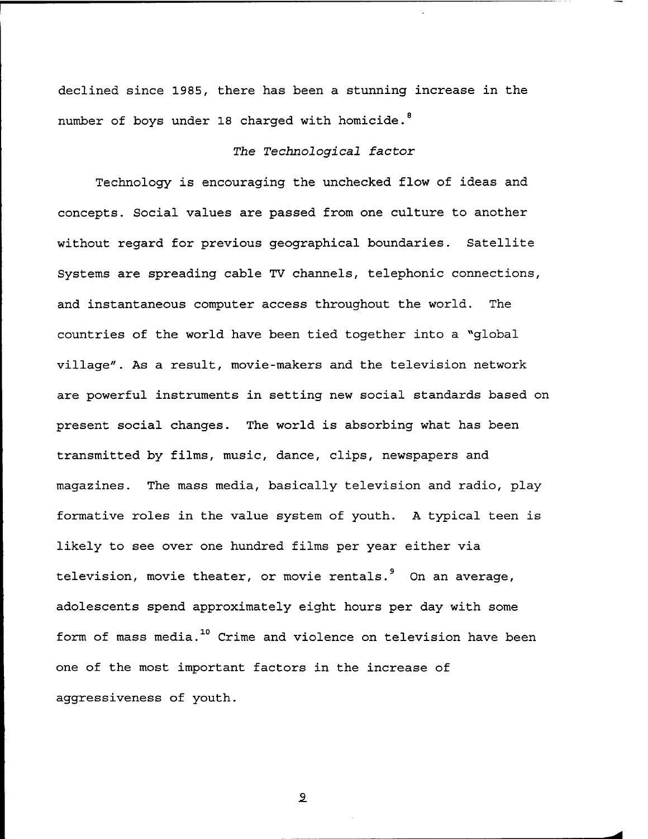declined since 1985, there has been a stunning increase in the number of boys under 18 charged with homicide. **<sup>8</sup>**

# *The Techno1 ogical factor*

Technology is encouraging the unchecked flow of ideas and concepts. Social values are passed from one culture to another without regard for previous geographical boundaries. Satellite Systems are spreading cable **TV** channels, telephonic connections, and instantaneous computer access throughout the world. The countries of the world have been tied together into a "global village". As a result, movie-makers and the television network are powerful instruments in setting new social standards based on present social changes. The world is absorbing what has been transmitted by films, music, dance, clips, newspapers and magazines. The mass media, basically television and radio, play formative roles in the value system of youth. A typical teen is likely to see over one hundred films per year either via television, movie theater, or movie rentals.<sup>9</sup> On an average, adolescents spend approximately eight hours per day with some form of mass media.<sup>10</sup> Crime and violence on television have been one of the most important factors in the increase of aggressiveness of youth.

 $\overline{2}$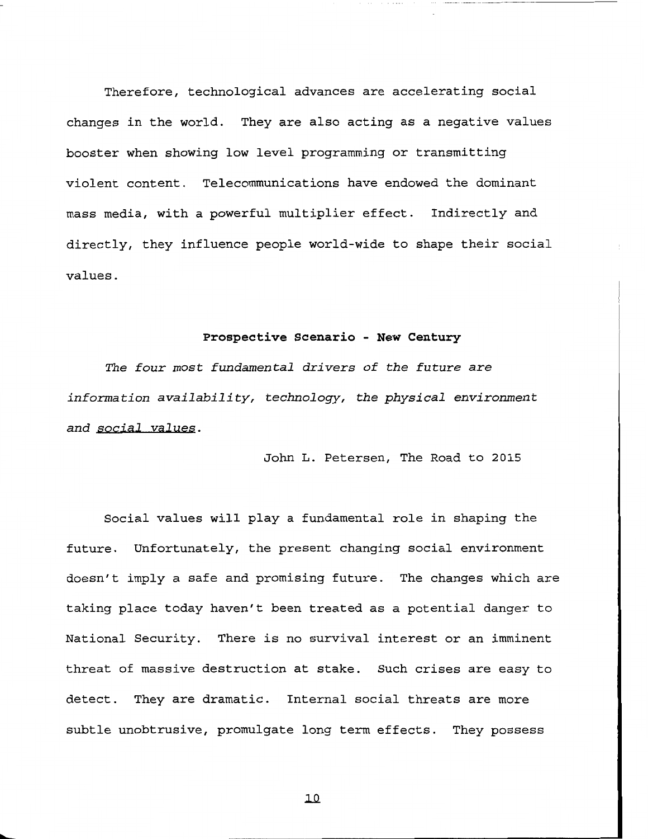Therefore, technological advances are accelerating social changes in the world. They are also acting as a negative values booster when showing low level programming or transmitting violent content. Telecommunications have endowed the dominant mass media, with a powerful multiplier effect. Indirectly and directly, they influence people world-wide to shape their social values.

### **Prospective Scenario** - **New Century**

*The four most fundamental drivers of the future are information availabil i ty, technology,* **the** *physical environment*  and social values.

John L. Petersen, The Road to 2015

Social values will play a fundamental role in shaping the future. Unfortunately, the present changing social environment doesn't imply a safe and promising future. The changes which are taking place today haven't been treated as a potential danger to National Security. There is no survival interest or an imminent threat of massive destruction at stake. Such crises are easy to detect. They are dramatic. Internal social threats are more subtle unobtrusive, promulgate long term effects. They possess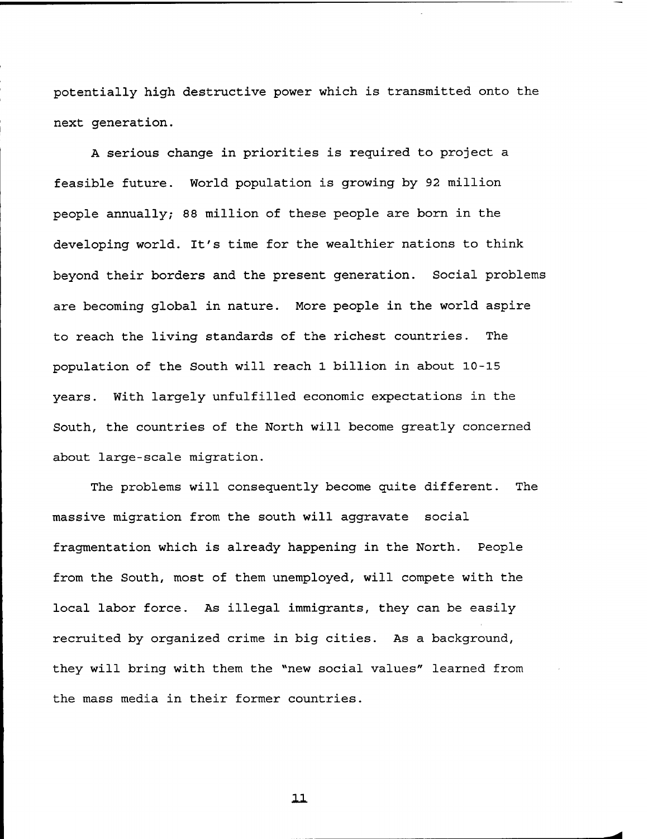potentially high destructive power which is transmitted onto the next generation.

A serious change in priorities is required to project a feasible future. World population is growing by 92 million people annually; 88 million of these people are born in the developing world. It's time for the wealthier nations to think beyond their borders and the present generation. Social problems are becoming global in nature. More people in the world aspire to reach the living standards of the richest countries. The population of the South will reach 1 billion in about 10-15 years. With largely unfulfilled economic expectations in the South, the countries of the North will become greatly concerned about large-scale migration.

The problems will consequently become quite different. The massive migration from the south will aggravate social fragmentation which is already happening in the North. People from the South, most of them unemployed, will compete with the local labor force. As illegal immigrants, they can be easily recruited by organized crime in big cities. As a background, they will bring with them the 'new social values" learned from the mass media in their former countries.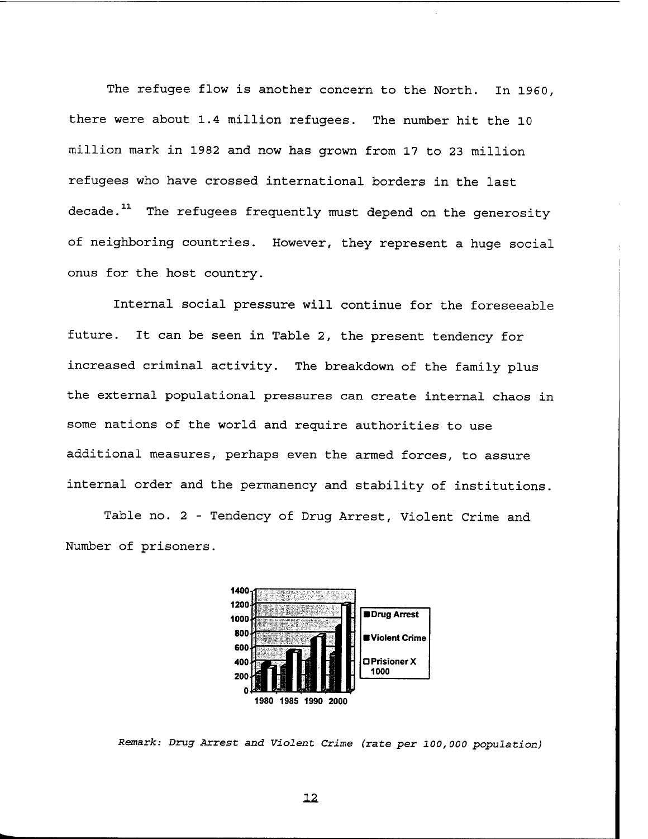The refugee flow is another concern to the North. In 1960, there were about 1.4 million refugees. The number hit the 10 million mark in 1982 and now has grown from 17 to 23 million refugees who have crossed international borders in the last decade.<sup>11</sup> The refugees frequently must depend on the generosity of neighboring countries. However, they represent a huge social onus for the host country.

Internal social pressure will continue for the foreseeable future. It can be seen in Table 2, the present tendency for increased criminal activity. The breakdown of the family plus the external populational pressures can create internal chaos in some nations of the world and require authorities to use additional measures, perhaps even the armed forces, to assure internal order and the permanency and stability of institutions.

Table no. 2 - Tendency of Drug Arrest, Violent Crime and Number of prisoners.



*Remark:* **Drug** *Arrest and Violent Crime (rate per 100,000 population)* 

l.2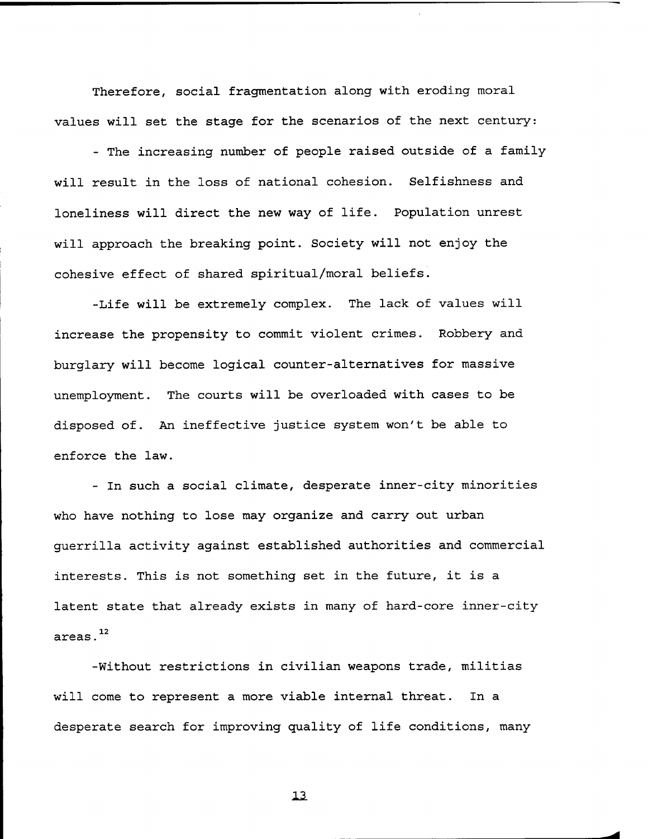Therefore, social fragmentation along with eroding moral values will set the stage for the scenarios of the next century:

- The increasing number of people raised outside of a family will result in the loss of national cohesion. Selfishness and loneliness will direct the new way of life. Population unrest will approach the breaking point. Society will not enjoy the cohesive effect of shared spiritual/moral beliefs.

-Life will be extremely complex. The lack of values will increase the propensity to commit violent crimes. Robbery and burglary will become logical counter-alternatives for massive unemployment. The courts will be overloaded with cases to be disposed of. An ineffective justice system won't be able to enforce the law.

- In such a social climate, desperate inner-city minorities who have nothing to lose may organize and carry out urban guerrilla activity against established authorities and commercial interests. This is not something set in the future, it is a latent state that already exists in many of hard-core inner-city **<sup>12</sup>**areas.

-Without restrictions in civilian weapons trade, militias will come to represent a more viable internal threat. In a desperate search for improving quality of life conditions, many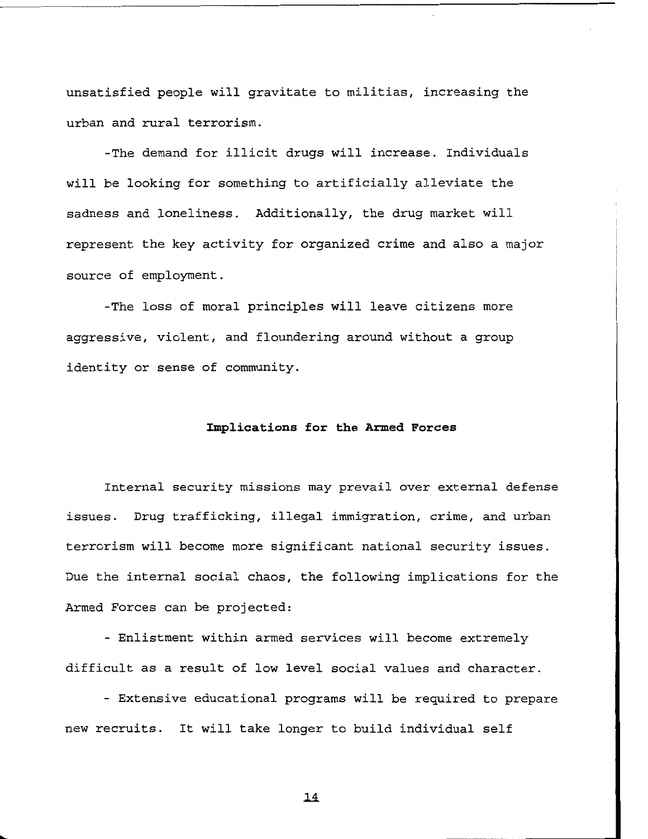unsatisfied people will gravitate to militias, increasing the urban and rural terrorism.

-The demand for illicit drugs will increase. Individuals will be looking for something to artificially alleviate the sadness and loneliness. Additionally, the drug market will represent the key activity for organized crime and also a major source of employment.

-The loss of moral principles will leave citizens more aggressive, violent, and floundering around without a group identity or sense of community.

# **Implications for the Armed Forces**

Internal security missions may prevail over external defense issues. Drug trafficking, illegal immigration, crime, and urban terrorism will become more significant national security issues. Due the internal social chaos, the following implications for the Armed Forces can be projected:

- Enlistment within armed services will become extremely difficult as a result of low level social values and character.

- Extensive educational programs will be required to prepare new recruits. It will take longer to build individual self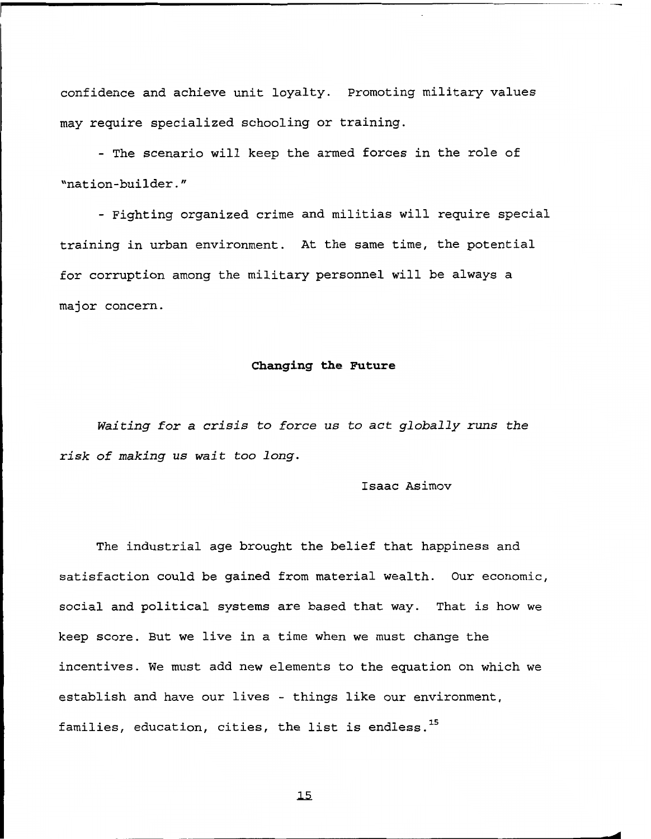confidence and achieve unit loyalty. Promoting military values may require specialized schooling or training.

- The scenario will keep the armed forces in the role of 'nation-builder."

- Fighting organized crime and militias will require special training in urban environment. At the same time, the potential for corruption among the military personnel will be always a major concern.

# **Changing the Future**

Waiting for a crisis to force us to **act globally** runs the risk of making us wait **too** long.

## Isaac Asimov

The industrial age brought the belief that happiness and satisfaction could be gained from material wealth. Our economic, social and political systems are based that way. That is how we keep score. But we live in a time when we must change the incentives. We must add new elements to the equation on which we establish and have our lives - things like our environment, families, education, cities, the list is endless. **<sup>15</sup>**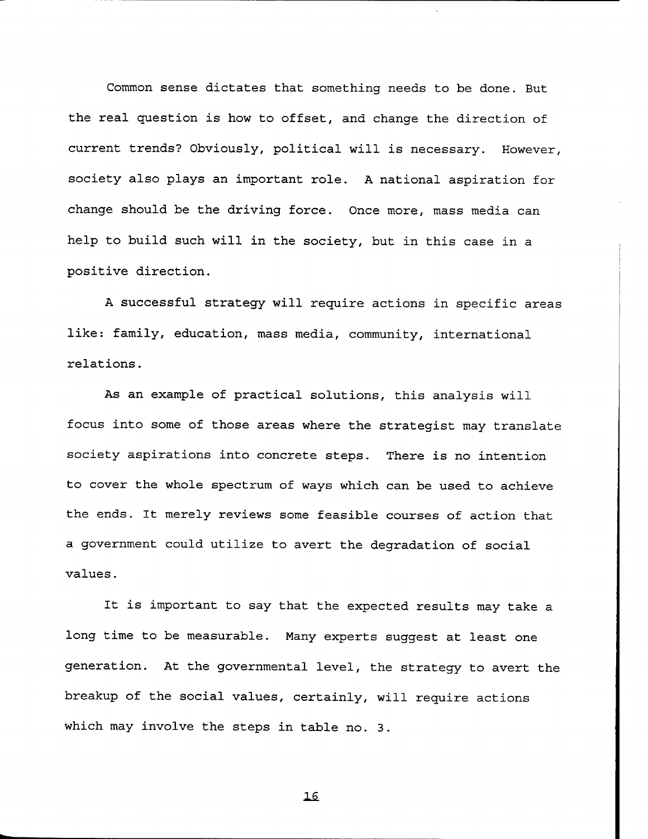Common sense dictates that something needs to be done. But the real question is how to offset, and change the direction of current trends? Obviously, political will is necessary. However, society also plays an important role. A national aspiration for change should be the driving force. Once more, mass media can help to build such will in the society, but in this case in a positive direction.

A successful strategy will require actions in specific areas like: family, education, mass media, community, international relations.

As an example of practical solutions, this analysis will focus into some of those areas where the strategist may translate society aspirations into concrete steps. There is no intention to cover the whole spectrum of ways which can be used to achieve the ends. It merely reviews some feasible courses of action that a government could utilize to avert the degradation of social values.

It is important to say that the expected results may take a long time to be measurable. Many experts suggest at least one generation. At the governmental level, the strategy to avert the breakup of the social values, certainly, will require actions which may involve the steps in table no. 3.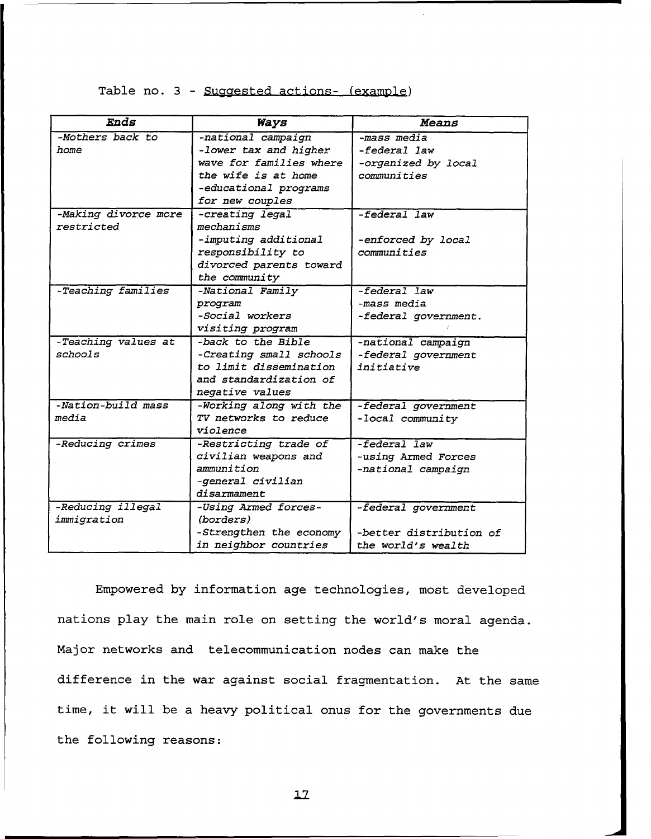Table no. 3 - Suggested actions- (example)

| Ends                 | Ways                    | <b>Means</b>            |  |
|----------------------|-------------------------|-------------------------|--|
| -Mothers back to     | -national campaign      | -mass media             |  |
| home                 | -lower tax and higher   | -federal law            |  |
|                      | wave for families where | -organized by local     |  |
|                      | the wife is at home     | communities             |  |
|                      | -educational programs   |                         |  |
|                      | for new couples         |                         |  |
| -Making divorce more | -creating legal         | -federal law            |  |
| restricted           | mechanisms              |                         |  |
|                      | -imputing additional    | -enforced by local      |  |
|                      | responsibility to       | communities             |  |
|                      | divorced parents toward |                         |  |
|                      | the community           |                         |  |
| -Teaching families   | -National Family        | -federal law            |  |
|                      | program                 | -mass media             |  |
|                      | -Social workers         | -federal government.    |  |
|                      | visiting program        |                         |  |
| -Teaching values at  | -back to the Bible      | -national campaign      |  |
| schools              | -Creating small schools | -federal government     |  |
|                      | to limit dissemination  | initiative              |  |
|                      | and standardization of  |                         |  |
|                      | negative values         |                         |  |
| -Nation-build mass   | -Working along with the | -federal government     |  |
| media                | TV networks to reduce   | -local community        |  |
|                      | violence                |                         |  |
| -Reducing crimes     | -Restricting trade of   | -federal law            |  |
|                      | civilian weapons and    | -using Armed Forces     |  |
|                      | ammunition              | -national campaign      |  |
|                      | -general civilian       |                         |  |
|                      | disarmament             |                         |  |
| -Reducing illegal    | -Using Armed forces-    | -federal government     |  |
| immigration          | (borders)               |                         |  |
|                      | -Strengthen the economy | -better distribution of |  |
|                      | in neighbor countries   | the world's wealth      |  |

Empowered by information age technologies, most developed nations play the main role on setting the world's moral agenda. Major networks and telecommunication nodes can make the difference in the war against social fragmentation. At the same time, it will be a heavy political onus for the governments due the following reasons: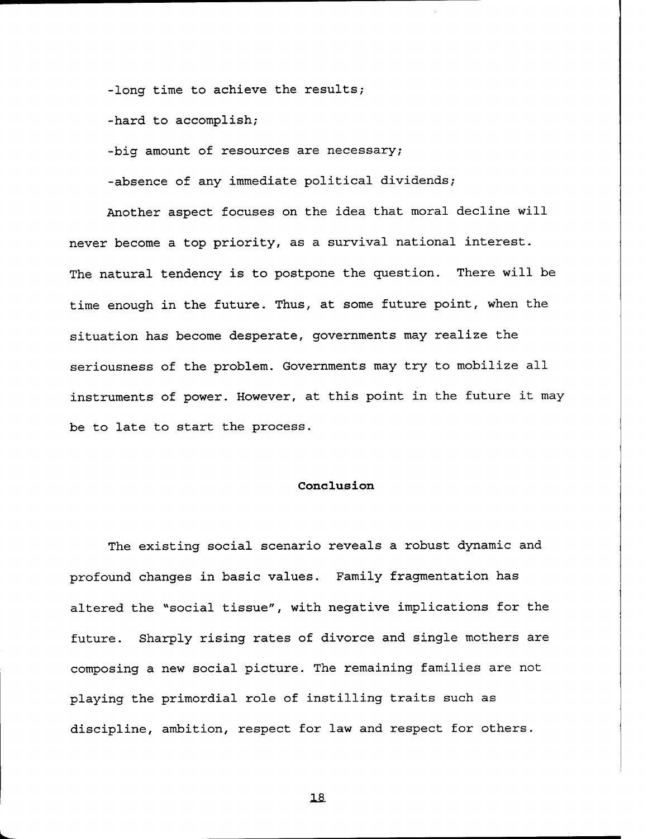-long time to achieve the results;

-hard to accomplish;

-big amount of resources are necessary;

-absence of any immediate political dividends;

Another aspect focuses on the idea that moral decline will never become a top priority, as a survival national interest. The natural tendency is to postpone the question. There will be time enough in the future. Thus, at some future point, when the situation has become desperate, governments may realize the seriousness of the problem. Governments may try to mobilize all instruments of power. However, at this point in the future it may be to late to start the process.

# **Conclusion**

The existing social scenario reveals a robust dynamic and profound changes in basic values. Family fragmentation has altered the "social tissue", with negative implications for the future. Sharply rising rates of divorce and single mothers are composing a new social picture. The remaining families are not playing the primordial role of instilling traits such as discipline, ambition, respect for law and respect for others.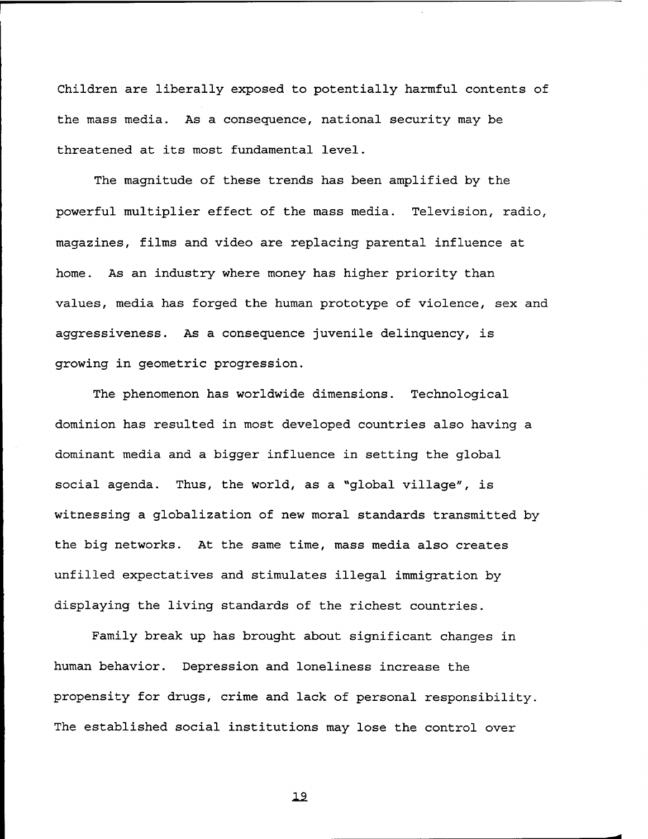Children are liberally exposed to potentially harmful contents of the mass media. As a consequence, national security may be threatened at its most fundamental level.

The magnitude of these trends has been amplified by the powerful multiplier effect of the mass media. Television, radio, magazines, films and video are replacing parental influence at home. As an industry where money has higher priority than values, media has forged the human prototype of violence, sex and aggressiveness. As a consequence juvenile delinquency, is growing in geometric progression.

The phenomenon has worldwide dimensions. Technological dominion has resulted in most developed countries also having a dominant media and a bigger influence in setting the global social agenda. Thus, the world, as a 'global village", is witnessing a globalization of new moral standards transmitted by the big networks. At the same time, mass media also creates unfilled expectatives and stimulates illegal immigration by displaying the living standards of the richest countries.

Family break up has brought about significant changes in human behavior. Depression and loneliness increase the propensity for drugs, crime and lack of personal responsibility. The established social institutions may lose the control over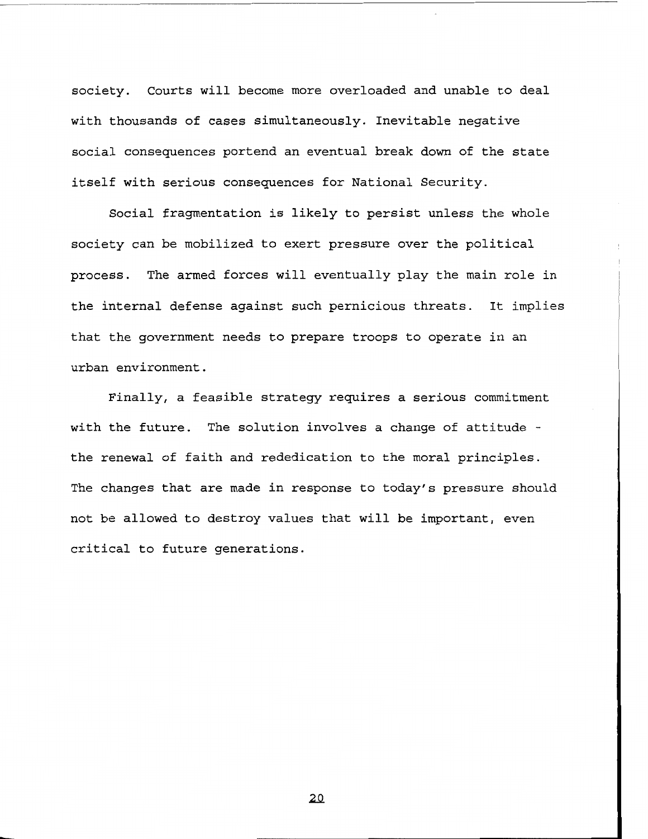society. Courts will become more overloaded and unable to deal with thousands of cases simultaneously. Inevitable negative social consequences portend an eventual break down of the state itself with serious consequences for National Security.

Social fragmentation is likely to persist unless the whole society can be mobilized to exert pressure over the political process. The armed forces will eventually play the main role in the internal defense against such pernicious threats. It implies that the government needs to prepare troops to operate in an urban environment.

Finally, a feasible strategy requires a serious commitment with the future. The solution involves a change of attitude the renewal of faith and rededication to the moral principles. The changes that are made in response to today's pressure should not be allowed to destroy values that will be important, even critical to future generations.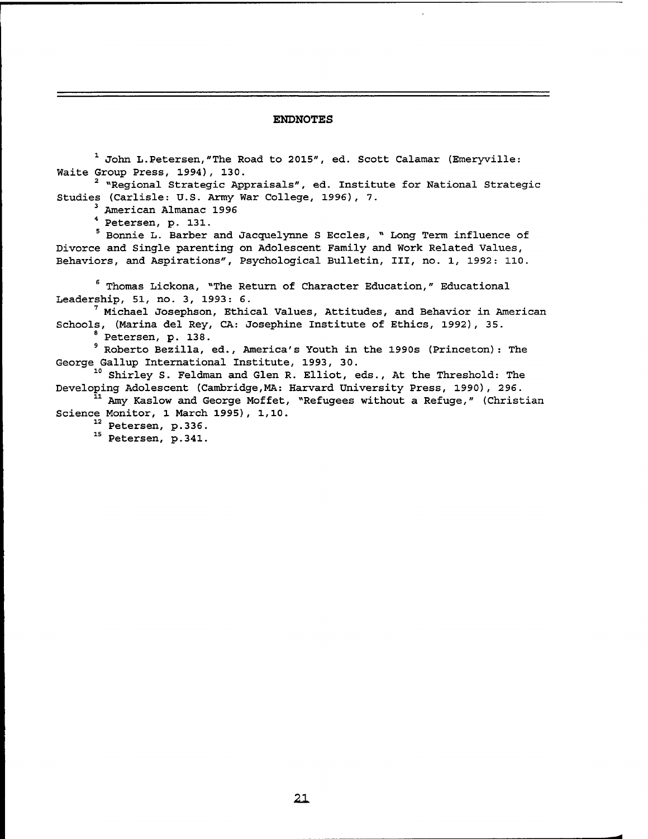#### **ENDNOTES**

<sup>1</sup> John L.Petersen, "The Road to 2015", ed. Scott Calamar (Emeryville: Waite Group Press, 1994), 130.

<sup>2</sup> "Regional Strategic Appraisals", ed. Institute for National Strategic<br>Studies (Carlisle: U.S. Army War College, 1996), 7.

<sup>3</sup> American Almanac 1996<br><sup>4</sup> Petersen, p. 131.<br><sup>5</sup> Bonnie L. Barber and Jacquelynne S Eccles, " Long Term influence of Divorce and Single parenting on Adolescent Family and Work Related Values, Behaviors, and Aspirations", Psychological Bulletin, 111, no. 1, 1992: 110.

**<sup>6</sup>**Thomas Lickona, "The Return of Character Education," Educational Leadership, 51, no. 3, 1993: 6.

 $^7$  Michael Josephson, Ethical Values, Attitudes, and Behavior in American Schools, (Marina del Rey, **CA:** Josephine Institute of Ethics, 1992), 35.

<sup>9</sup> Roberto Bezilla, ed., America's Youth in the 1990s (Princeton): The

George Gallup International Institute, 1993, 30.<br><sup>10</sup> Shirley S. Feldman and Glen R. Elliot, eds., At the Threshold: The<br>Developing Adolescent (Cambridge, MA: Harvard University Press, 1990), 296.

<sup>11</sup> Amy Kaslow and George Moffet, "Refugees without a Refuge," (Christian Science Monitor, 1 March 1995), 1,10.<br><sup>12</sup> Petersen, p.336.<br><sup>15</sup> Petersen, p.341.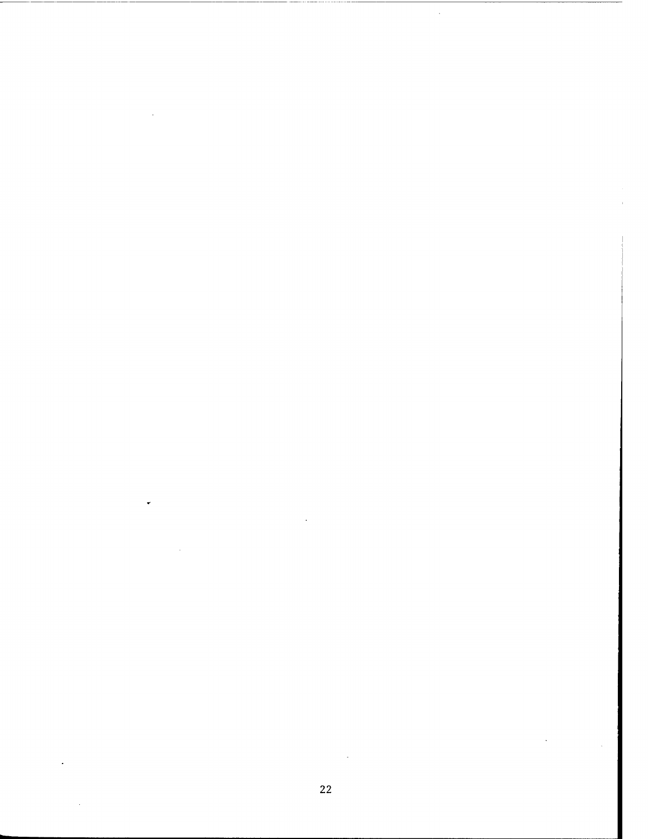